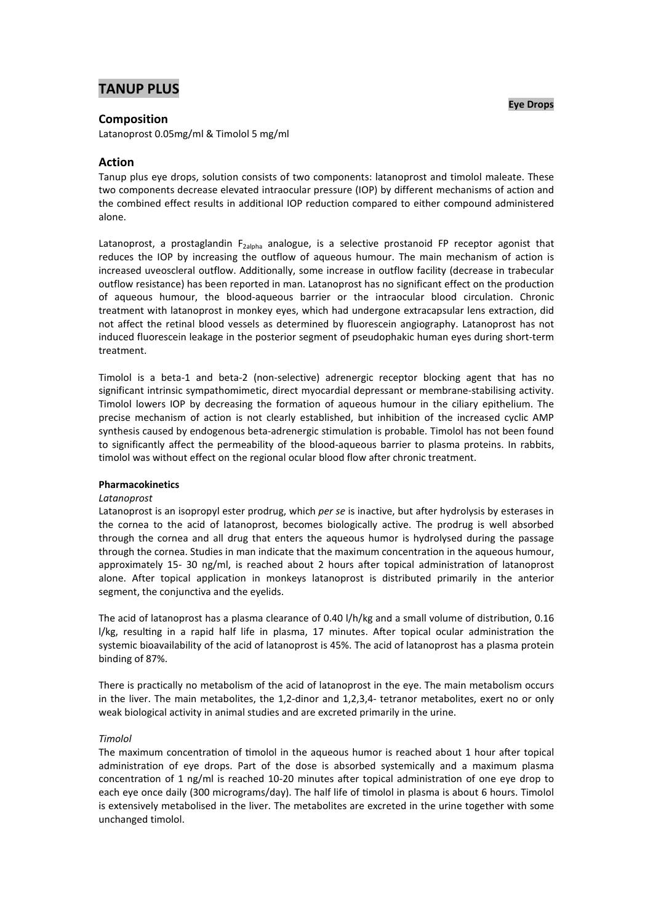# **TANUP PLUS**

### **Eye Drops**

## **Composition**

Latanoprost 0.05mg/ml & Timolol 5 mg/ml

## **Action**

Tanup plus eye drops, solution consists of two components: latanoprost and timolol maleate. These two components decrease elevated intraocular pressure (IOP) by different mechanisms of action and the combined effect results in additional IOP reduction compared to either compound administered alone.

Latanoprost, a prostaglandin F<sub>2alpha</sub> analogue, is a selective prostanoid FP receptor agonist that reduces the IOP by increasing the outflow of aqueous humour. The main mechanism of action is increased uveoscleral outflow. Additionally, some increase in outflow facility (decrease in trabecular outflow resistance) has been reported in man. Latanoprost has no significant effect on the production of aqueous humour, the blood-aqueous barrier or the intraocular blood circulation. Chronic treatment with latanoprost in monkey eyes, which had undergone extracapsular lens extraction, did not affect the retinal blood vessels as determined by fluorescein angiography. Latanoprost has not induced fluorescein leakage in the posterior segment of pseudophakic human eyes during short-term treatment.

Timolol is a beta-1 and beta-2 (non-selective) adrenergic receptor blocking agent that has no significant intrinsic sympathomimetic, direct myocardial depressant or membrane-stabilising activity. Timolol lowers IOP by decreasing the formation of aqueous humour in the ciliary epithelium. The precise mechanism of action is not clearly established, but inhibition of the increased cyclic AMP synthesis caused by endogenous beta-adrenergic stimulation is probable. Timolol has not been found to significantly affect the permeability of the blood-aqueous barrier to plasma proteins. In rabbits, timolol was without effect on the regional ocular blood flow after chronic treatment.

### **Pharmacokinetics**

### *Latanoprost*

Latanoprost is an isopropyl ester prodrug, which *per se* is inactive, but after hydrolysis by esterases in the cornea to the acid of latanoprost, becomes biologically active. The prodrug is well absorbed through the cornea and all drug that enters the aqueous humor is hydrolysed during the passage through the cornea. Studies in man indicate that the maximum concentration in the aqueous humour, approximately 15-30 ng/ml, is reached about 2 hours after topical administration of latanoprost alone. After topical application in monkeys latanoprost is distributed primarily in the anterior segment, the conjunctiva and the eyelids.

The acid of latanoprost has a plasma clearance of 0.40 l/h/kg and a small volume of distribution, 0.16 l/kg, resulting in a rapid half life in plasma, 17 minutes. After topical ocular administration the systemic bioavailability of the acid of latanoprost is 45%. The acid of latanoprost has a plasma protein binding of 87%.

There is practically no metabolism of the acid of latanoprost in the eye. The main metabolism occurs in the liver. The main metabolites, the 1,2-dinor and 1,2,3,4- tetranor metabolites, exert no or only weak biological activity in animal studies and are excreted primarily in the urine.

### *Timolol*

The maximum concentration of timolol in the aqueous humor is reached about 1 hour after topical administration of eye drops. Part of the dose is absorbed systemically and a maximum plasma concentration of 1 ng/ml is reached 10-20 minutes after topical administration of one eye drop to each eye once daily (300 micrograms/day). The half life of timolol in plasma is about 6 hours. Timolol is extensively metabolised in the liver. The metabolites are excreted in the urine together with some unchanged timolol.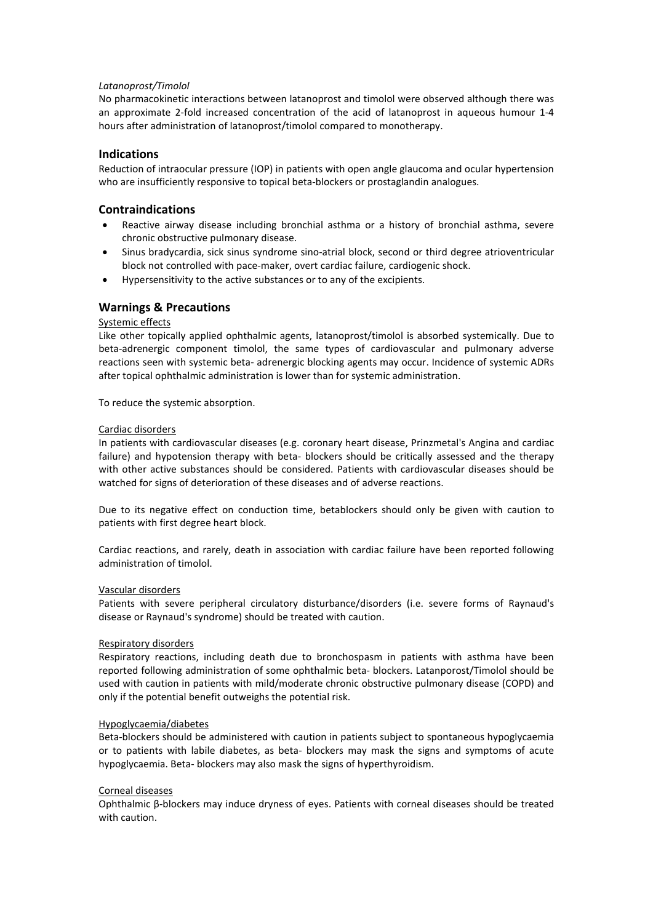## *Latanoprost/Timolol*

No pharmacokinetic interactions between latanoprost and timolol were observed although there was an approximate 2-fold increased concentration of the acid of latanoprost in aqueous humour 1-4 hours after administration of latanoprost/timolol compared to monotherapy.

## **Indications**

Reduction of intraocular pressure (IOP) in patients with open angle glaucoma and ocular hypertension who are insufficiently responsive to topical beta-blockers or prostaglandin analogues.

## **Contraindications**

- Reactive airway disease including bronchial asthma or a history of bronchial asthma, severe chronic obstructive pulmonary disease.
- Sinus bradycardia, sick sinus syndrome sino-atrial block, second or third degree atrioventricular block not controlled with pace-maker, overt cardiac failure, cardiogenic shock.
- Hypersensitivity to the active substances or to any of the excipients.

## **Warnings & Precautions**

## Systemic effects

Like other topically applied ophthalmic agents, latanoprost/timolol is absorbed systemically. Due to beta-adrenergic component timolol, the same types of cardiovascular and pulmonary adverse reactions seen with systemic beta- adrenergic blocking agents may occur. Incidence of systemic ADRs after topical ophthalmic administration is lower than for systemic administration.

To reduce the systemic absorption.

## Cardiac disorders

In patients with cardiovascular diseases (e.g. coronary heart disease, Prinzmetal's Angina and cardiac failure) and hypotension therapy with beta- blockers should be critically assessed and the therapy with other active substances should be considered. Patients with cardiovascular diseases should be watched for signs of deterioration of these diseases and of adverse reactions.

Due to its negative effect on conduction time, betablockers should only be given with caution to patients with first degree heart block.

Cardiac reactions, and rarely, death in association with cardiac failure have been reported following administration of timolol.

### Vascular disorders

Patients with severe peripheral circulatory disturbance/disorders (i.e. severe forms of Raynaud's disease or Raynaud's syndrome) should be treated with caution.

### Respiratory disorders

Respiratory reactions, including death due to bronchospasm in patients with asthma have been reported following administration of some ophthalmic beta- blockers. Latanporost/Timolol should be used with caution in patients with mild/moderate chronic obstructive pulmonary disease (COPD) and only if the potential benefit outweighs the potential risk.

## Hypoglycaemia/diabetes

Beta-blockers should be administered with caution in patients subject to spontaneous hypoglycaemia or to patients with labile diabetes, as beta- blockers may mask the signs and symptoms of acute hypoglycaemia. Beta- blockers may also mask the signs of hyperthyroidism.

## Corneal diseases

Ophthalmic β-blockers may induce dryness of eyes. Patients with corneal diseases should be treated with caution.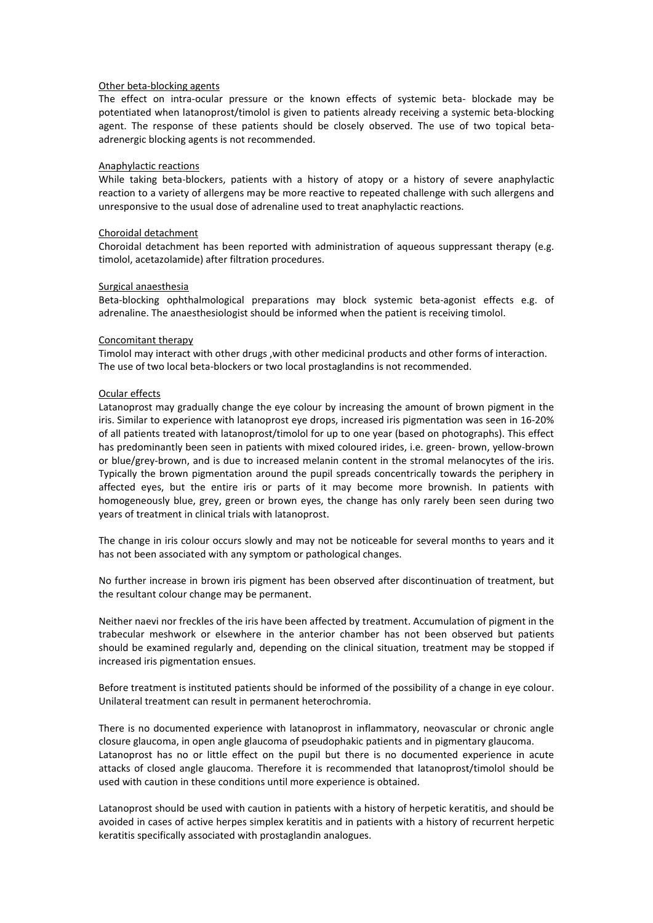### Other beta-blocking agents

The effect on intra-ocular pressure or the known effects of systemic beta- blockade may be potentiated when latanoprost/timolol is given to patients already receiving a systemic beta-blocking agent. The response of these patients should be closely observed. The use of two topical betaadrenergic blocking agents is not recommended.

## Anaphylactic reactions

While taking beta-blockers, patients with a history of atopy or a history of severe anaphylactic reaction to a variety of allergens may be more reactive to repeated challenge with such allergens and unresponsive to the usual dose of adrenaline used to treat anaphylactic reactions.

#### Choroidal detachment

Choroidal detachment has been reported with administration of aqueous suppressant therapy (e.g. timolol, acetazolamide) after filtration procedures.

#### Surgical anaesthesia

Beta-blocking ophthalmological preparations may block systemic beta-agonist effects e.g. of adrenaline. The anaesthesiologist should be informed when the patient is receiving timolol.

#### Concomitant therapy

Timolol may interact with other drugs ,with other medicinal products and other forms of interaction. The use of two local beta-blockers or two local prostaglandins is not recommended.

#### Ocular effects

Latanoprost may gradually change the eye colour by increasing the amount of brown pigment in the iris. Similar to experience with latanoprost eye drops, increased iris pigmentation was seen in 16-20% of all patients treated with latanoprost/timolol for up to one year (based on photographs). This effect has predominantly been seen in patients with mixed coloured irides, i.e. green- brown, yellow-brown or blue/grey-brown, and is due to increased melanin content in the stromal melanocytes of the iris. Typically the brown pigmentation around the pupil spreads concentrically towards the periphery in affected eyes, but the entire iris or parts of it may become more brownish. In patients with homogeneously blue, grey, green or brown eyes, the change has only rarely been seen during two years of treatment in clinical trials with latanoprost.

The change in iris colour occurs slowly and may not be noticeable for several months to years and it has not been associated with any symptom or pathological changes.

No further increase in brown iris pigment has been observed after discontinuation of treatment, but the resultant colour change may be permanent.

Neither naevi nor freckles of the iris have been affected by treatment. Accumulation of pigment in the trabecular meshwork or elsewhere in the anterior chamber has not been observed but patients should be examined regularly and, depending on the clinical situation, treatment may be stopped if increased iris pigmentation ensues.

Before treatment is instituted patients should be informed of the possibility of a change in eye colour. Unilateral treatment can result in permanent heterochromia.

There is no documented experience with latanoprost in inflammatory, neovascular or chronic angle closure glaucoma, in open angle glaucoma of pseudophakic patients and in pigmentary glaucoma. Latanoprost has no or little effect on the pupil but there is no documented experience in acute attacks of closed angle glaucoma. Therefore it is recommended that latanoprost/timolol should be used with caution in these conditions until more experience is obtained.

Latanoprost should be used with caution in patients with a history of herpetic keratitis, and should be avoided in cases of active herpes simplex keratitis and in patients with a history of recurrent herpetic keratitis specifically associated with prostaglandin analogues.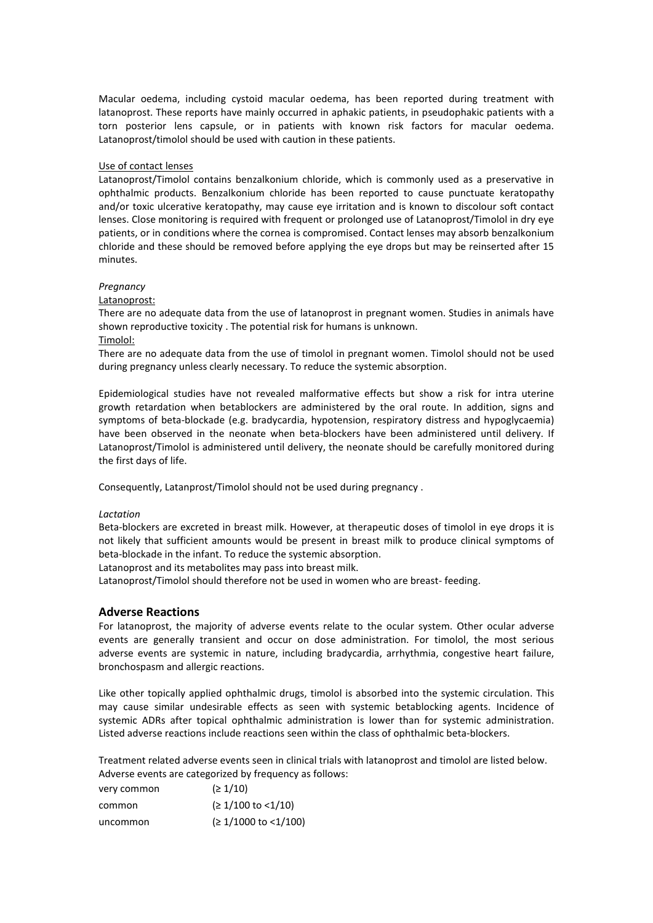Macular oedema, including cystoid macular oedema, has been reported during treatment with latanoprost. These reports have mainly occurred in aphakic patients, in pseudophakic patients with a torn posterior lens capsule, or in patients with known risk factors for macular oedema. Latanoprost/timolol should be used with caution in these patients.

## Use of contact lenses

Latanoprost/Timolol contains benzalkonium chloride, which is commonly used as a preservative in ophthalmic products. Benzalkonium chloride has been reported to cause punctuate keratopathy and/or toxic ulcerative keratopathy, may cause eye irritation and is known to discolour soft contact lenses. Close monitoring is required with frequent or prolonged use of Latanoprost/Timolol in dry eye patients, or in conditions where the cornea is compromised. Contact lenses may absorb benzalkonium chloride and these should be removed before applying the eye drops but may be reinserted after 15 minutes.

### *Pregnancy*

## Latanoprost:

There are no adequate data from the use of latanoprost in pregnant women. Studies in animals have shown reproductive toxicity . The potential risk for humans is unknown.

Timolol:

There are no adequate data from the use of timolol in pregnant women. Timolol should not be used during pregnancy unless clearly necessary. To reduce the systemic absorption.

Epidemiological studies have not revealed malformative effects but show a risk for intra uterine growth retardation when betablockers are administered by the oral route. In addition, signs and symptoms of beta-blockade (e.g. bradycardia, hypotension, respiratory distress and hypoglycaemia) have been observed in the neonate when beta-blockers have been administered until delivery. If Latanoprost/Timolol is administered until delivery, the neonate should be carefully monitored during the first days of life.

Consequently, Latanprost/Timolol should not be used during pregnancy .

### *Lactation*

Beta-blockers are excreted in breast milk. However, at therapeutic doses of timolol in eye drops it is not likely that sufficient amounts would be present in breast milk to produce clinical symptoms of beta-blockade in the infant. To reduce the systemic absorption.

Latanoprost and its metabolites may pass into breast milk.

Latanoprost/Timolol should therefore not be used in women who are breast- feeding.

## **Adverse Reactions**

For latanoprost, the majority of adverse events relate to the ocular system. Other ocular adverse events are generally transient and occur on dose administration. For timolol, the most serious adverse events are systemic in nature, including bradycardia, arrhythmia, congestive heart failure, bronchospasm and allergic reactions.

Like other topically applied ophthalmic drugs, timolol is absorbed into the systemic circulation. This may cause similar undesirable effects as seen with systemic betablocking agents. Incidence of systemic ADRs after topical ophthalmic administration is lower than for systemic administration. Listed adverse reactions include reactions seen within the class of ophthalmic beta-blockers.

Treatment related adverse events seen in clinical trials with latanoprost and timolol are listed below. Adverse events are categorized by frequency as follows:

| very common | (21/10)                               |
|-------------|---------------------------------------|
| common      | $( \geq 1/100 \text{ to } <1/10 )$    |
| uncommon    | $( \geq 1/1000 \text{ to } < 1/100 )$ |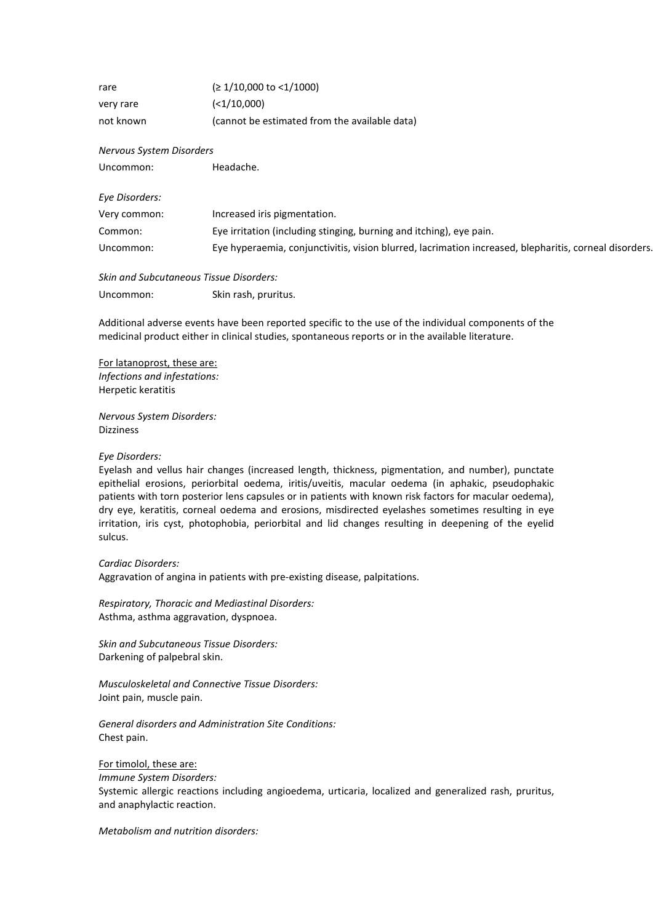| rare      | $( \geq 1/10,000 \text{ to } < 1/1000 )$      |
|-----------|-----------------------------------------------|
| very rare | $(1/10,000)$                                  |
| not known | (cannot be estimated from the available data) |

### *Nervous System Disorders*

Uncommon: Headache.

| Eye Disorders: |                                                                                                        |
|----------------|--------------------------------------------------------------------------------------------------------|
| Very common:   | Increased iris pigmentation.                                                                           |
| Common:        | Eye irritation (including stinging, burning and itching), eye pain.                                    |
| Uncommon:      | Eye hyperaemia, conjunctivitis, vision blurred, lacrimation increased, blepharitis, corneal disorders. |

*Skin and Subcutaneous Tissue Disorders:* Uncommon: Skin rash, pruritus.

Additional adverse events have been reported specific to the use of the individual components of the medicinal product either in clinical studies, spontaneous reports or in the available literature.

For latanoprost, these are: *Infections and infestations:*  Herpetic keratitis

*Nervous System Disorders:* Dizziness

### *Eye Disorders:*

Eyelash and vellus hair changes (increased length, thickness, pigmentation, and number), punctate epithelial erosions, periorbital oedema, iritis/uveitis, macular oedema (in aphakic, pseudophakic patients with torn posterior lens capsules or in patients with known risk factors for macular oedema), dry eye, keratitis, corneal oedema and erosions, misdirected eyelashes sometimes resulting in eye irritation, iris cyst, photophobia, periorbital and lid changes resulting in deepening of the eyelid sulcus.

#### *Cardiac Disorders:*

Aggravation of angina in patients with pre-existing disease, palpitations.

*Respiratory, Thoracic and Mediastinal Disorders:* Asthma, asthma aggravation, dyspnoea.

*Skin and Subcutaneous Tissue Disorders:*  Darkening of palpebral skin.

*Musculoskeletal and Connective Tissue Disorders:* Joint pain, muscle pain.

## *General disorders and Administration Site Conditions:* Chest pain.

For timolol, these are:

*Immune System Disorders:*

Systemic allergic reactions including angioedema, urticaria, localized and generalized rash, pruritus, and anaphylactic reaction.

*Metabolism and nutrition disorders:*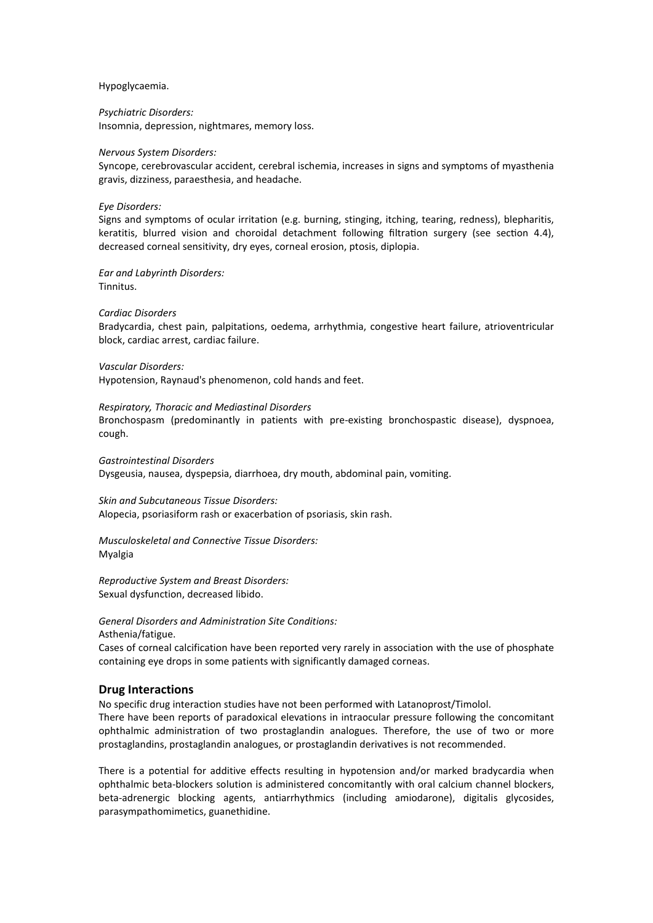Hypoglycaemia.

*Psychiatric Disorders:* Insomnia, depression, nightmares, memory loss.

#### *Nervous System Disorders:*

Syncope, cerebrovascular accident, cerebral ischemia, increases in signs and symptoms of myasthenia gravis, dizziness, paraesthesia, and headache.

#### *Eye Disorders:*

Signs and symptoms of ocular irritation (e.g. burning, stinging, itching, tearing, redness), blepharitis, keratitis, blurred vision and choroidal detachment following filtration surgery (see section 4.4), decreased corneal sensitivity, dry eyes, corneal erosion, ptosis, diplopia.

*Ear and Labyrinth Disorders:* Tinnitus.

#### *Cardiac Disorders*

Bradycardia, chest pain, palpitations, oedema, arrhythmia, congestive heart failure, atrioventricular block, cardiac arrest, cardiac failure.

*Vascular Disorders:*

Hypotension, Raynaud's phenomenon, cold hands and feet.

#### *Respiratory, Thoracic and Mediastinal Disorders*

Bronchospasm (predominantly in patients with pre-existing bronchospastic disease), dyspnoea, cough.

*Gastrointestinal Disorders* Dysgeusia, nausea, dyspepsia, diarrhoea, dry mouth, abdominal pain, vomiting.

*Skin and Subcutaneous Tissue Disorders:* Alopecia, psoriasiform rash or exacerbation of psoriasis, skin rash.

*Musculoskeletal and Connective Tissue Disorders:* Myalgia

*Reproductive System and Breast Disorders:* Sexual dysfunction, decreased libido.

## *General Disorders and Administration Site Conditions:*

Asthenia/fatigue.

Cases of corneal calcification have been reported very rarely in association with the use of phosphate containing eye drops in some patients with significantly damaged corneas.

## **Drug Interactions**

No specific drug interaction studies have not been performed with Latanoprost/Timolol.

There have been reports of paradoxical elevations in intraocular pressure following the concomitant ophthalmic administration of two prostaglandin analogues. Therefore, the use of two or more prostaglandins, prostaglandin analogues, or prostaglandin derivatives is not recommended.

There is a potential for additive effects resulting in hypotension and/or marked bradycardia when ophthalmic beta-blockers solution is administered concomitantly with oral calcium channel blockers, beta-adrenergic blocking agents, antiarrhythmics (including amiodarone), digitalis glycosides, parasympathomimetics, guanethidine.